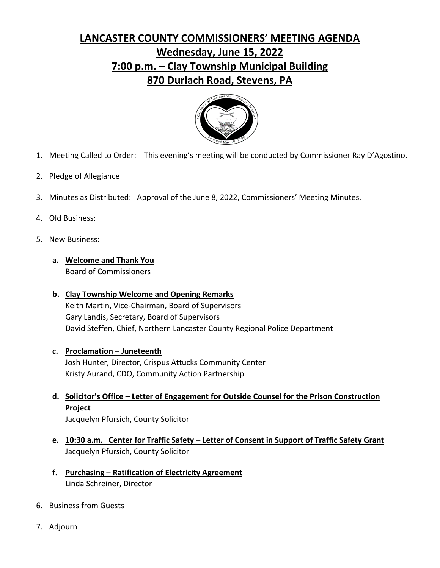## **LANCASTER COUNTY COMMISSIONERS' MEETING AGENDA Wednesday, June 15, 2022 7:00 p.m. – Clay Township Municipal Building 870 Durlach Road, Stevens, PA**



- 1. Meeting Called to Order: This evening's meeting will be conducted by Commissioner Ray D'Agostino.
- 2. Pledge of Allegiance
- 3. Minutes as Distributed: Approval of the June 8, 2022, Commissioners' Meeting Minutes.
- 4. Old Business:
- 5. New Business:
	- **a. Welcome and Thank You**  Board of Commissioners
	- **b. Clay Township Welcome and Opening Remarks**  Keith Martin, Vice-Chairman, Board of Supervisors Gary Landis, Secretary, Board of Supervisors David Steffen, Chief, Northern Lancaster County Regional Police Department
	- **c. Proclamation – Juneteenth**  Josh Hunter, Director, Crispus Attucks Community Center Kristy Aurand, CDO, Community Action Partnership
	- **d. Solicitor's Office – Letter of Engagement for Outside Counsel for the Prison Construction Project**

Jacquelyn Pfursich, County Solicitor

- **e. 10:30 a.m. Center for Traffic Safety – Letter of Consent in Support of Traffic Safety Grant**  Jacquelyn Pfursich, County Solicitor
- **f. Purchasing – Ratification of Electricity Agreement**  Linda Schreiner, Director
- 6. Business from Guests
- 7. Adjourn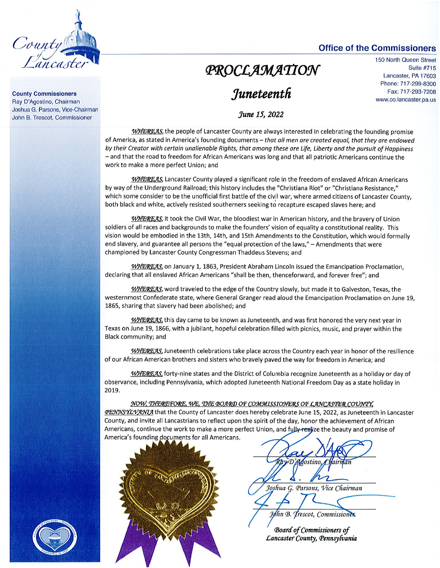

#### **County Commissioners** Ray D'Agostino, Chairman Joshua G. Parsons, Vice-Chairman John B. Trescot, Commissioner

### **Office of the Commissioners**

# PROCLAMATION

# Juneteenth

150 North Queen Street **Suite #715** Lancaster, PA 17603 Phone: 717-299-8300 Fax: 717-293-7208 www.co.lancaster.pa.us

### June 15, 2022

WHEREAS, the people of Lancaster County are always interested in celebrating the founding promise of America, as stated in America's founding documents - that all men are created equal, that they are endowed by their Creator with certain unalienable Rights, that among these are Life, Liberty and the pursuit of Happiness - and that the road to freedom for African Americans was long and that all patriotic Americans continue the work to make a more perfect Union; and

WHEREAS, Lancaster County played a significant role in the freedom of enslaved African Americans by way of the Underground Railroad; this history includes the "Christiana Riot" or "Christiana Resistance," which some consider to be the unofficial first battle of the civil war, where armed citizens of Lancaster County, both black and white, actively resisted southerners seeking to recapture escaped slaves here; and

WHEREAS, it took the Civil War, the bloodiest war in American history, and the bravery of Union soldiers of all races and backgrounds to make the founders' vision of equality a constitutional reality. This vision would be embodied in the 13th, 14th, and 15th Amendments to the Constitution, which would formally end slavery, and guarantee all persons the "equal protection of the laws," - Amendments that were championed by Lancaster County Congressman Thaddeus Stevens; and

WHEREAS, on January 1, 1863, President Abraham Lincoln issued the Emancipation Proclamation, declaring that all enslaved African Americans "shall be then, thenceforward, and forever free"; and

WHEREAS, word traveled to the edge of the Country slowly, but made it to Galveston, Texas, the westernmost Confederate state, where General Granger read aloud the Emancipation Proclamation on June 19, 1865, sharing that slavery had been abolished; and

WHEREAS, this day came to be known as Juneteenth, and was first honored the very next year in Texas on June 19, 1866, with a jubilant, hopeful celebration filled with picnics, music, and prayer within the Black community; and

WHEREAS, Juneteenth celebrations take place across the Country each year in honor of the resilience of our African American brothers and sisters who bravely paved the way for freedom in America; and

WHEREAS, forty-nine states and the District of Columbia recognize Juneteenth as a holiday or day of observance, including Pennsylvania, which adopted Juneteenth National Freedom Day as a state holiday in 2019.

#### NOW, THEREFORE, WE, THE BOARD OF COMMISSIONERS OF LANCASTER COUNTY,

**PENYNSYLVANIA** that the County of Lancaster does hereby celebrate June 15, 2022, as Juneteenth in Lancaster County, and invite all Lancastrians to reflect upon the spirit of the day, honor the achievement of African Americans, continue the work to make a more perfect Union, and fully realize the beauty and promise of America's founding documents for all Americans.



Agostino Joshua G. Parsons, Vice Chairman

John B. Trescot, Commissionex

**Board of Commissioners of** Lancaster County, Pennsylvania

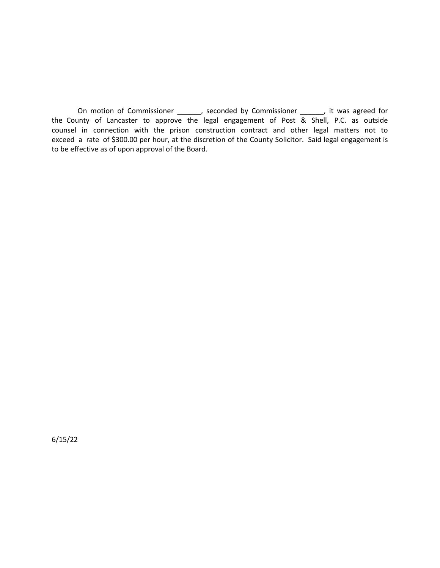On motion of Commissioner \_\_\_\_\_\_, seconded by Commissioner \_\_\_\_\_\_, it was agreed for the County of Lancaster to approve the legal engagement of Post & Shell, P.C. as outside counsel in connection with the prison construction contract and other legal matters not to exceed a rate of \$300.00 per hour, at the discretion of the County Solicitor. Said legal engagement is to be effective as of upon approval of the Board.

6/15/22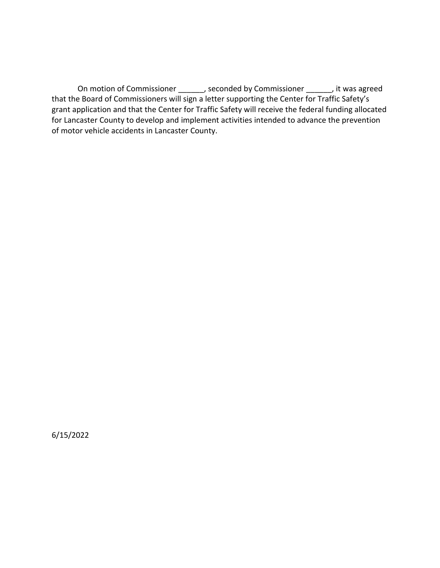On motion of Commissioner \_\_\_\_\_\_, seconded by Commissioner \_\_\_\_\_\_, it was agreed that the Board of Commissioners will sign a letter supporting the Center for Traffic Safety's grant application and that the Center for Traffic Safety will receive the federal funding allocated for Lancaster County to develop and implement activities intended to advance the prevention of motor vehicle accidents in Lancaster County.

6/15/2022